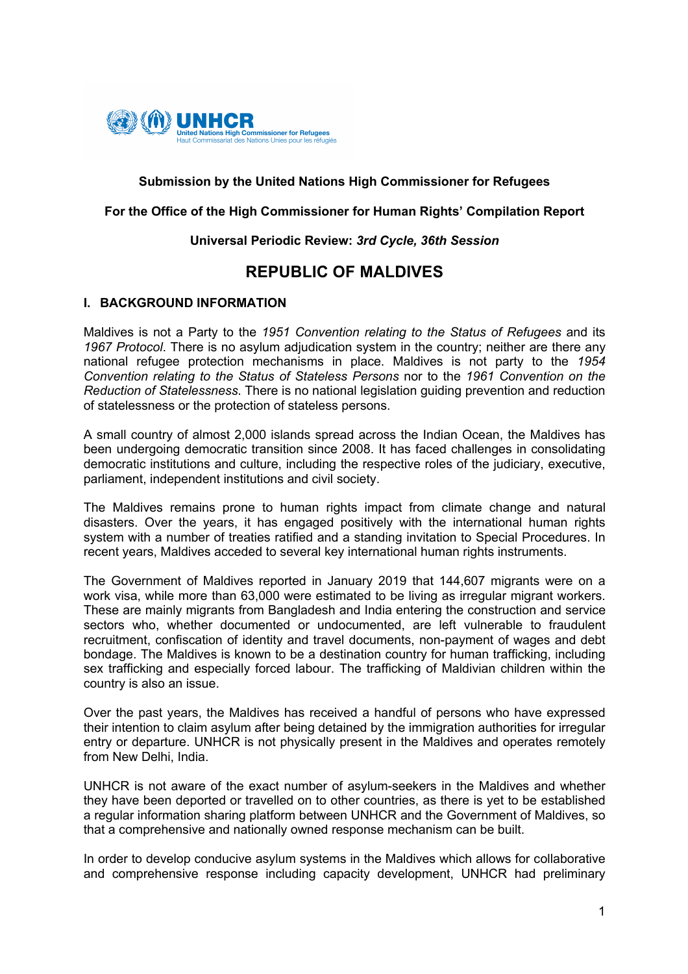

### **Submission by the United Nations High Commissioner for Refugees**

#### **For the Office of the High Commissioner for Human Rights' Compilation Report**

#### **Universal Periodic Review:** *3rd Cycle, 36th Session*

# **REPUBLIC OF MALDIVES**

#### **I. BACKGROUND INFORMATION**

Maldives is not a Party to the *1951 Convention relating to the Status of Refugees* and its *1967 Protocol*. There is no asylum adjudication system in the country; neither are there any national refugee protection mechanisms in place. Maldives is not party to the *1954 Convention relating to the Status of Stateless Persons* nor to the *1961 Convention on the Reduction of Statelessness*. There is no national legislation guiding prevention and reduction of statelessness or the protection of stateless persons.

A small country of almost 2,000 islands spread across the Indian Ocean, the Maldives has been undergoing democratic transition since 2008. It has faced challenges in consolidating democratic institutions and culture, including the respective roles of the judiciary, executive, parliament, independent institutions and civil society.

The Maldives remains prone to human rights impact from climate change and natural disasters. Over the years, it has engaged positively with the international human rights system with a number of treaties ratified and a standing invitation to Special Procedures. In recent years, Maldives acceded to several key international human rights instruments.

The Government of Maldives reported in January 2019 that 144,607 migrants were on a work visa, while more than 63,000 were estimated to be living as irregular migrant workers. These are mainly migrants from Bangladesh and India entering the construction and service sectors who, whether documented or undocumented, are left vulnerable to fraudulent recruitment, confiscation of identity and travel documents, non-payment of wages and debt bondage. The Maldives is known to be a destination country for human trafficking, including sex trafficking and especially forced labour. The trafficking of Maldivian children within the country is also an issue.

Over the past years, the Maldives has received a handful of persons who have expressed their intention to claim asylum after being detained by the immigration authorities for irregular entry or departure. UNHCR is not physically present in the Maldives and operates remotely from New Delhi, India.

UNHCR is not aware of the exact number of asylum-seekers in the Maldives and whether they have been deported or travelled on to other countries, as there is yet to be established a regular information sharing platform between UNHCR and the Government of Maldives, so that a comprehensive and nationally owned response mechanism can be built.

In order to develop conducive asylum systems in the Maldives which allows for collaborative and comprehensive response including capacity development, UNHCR had preliminary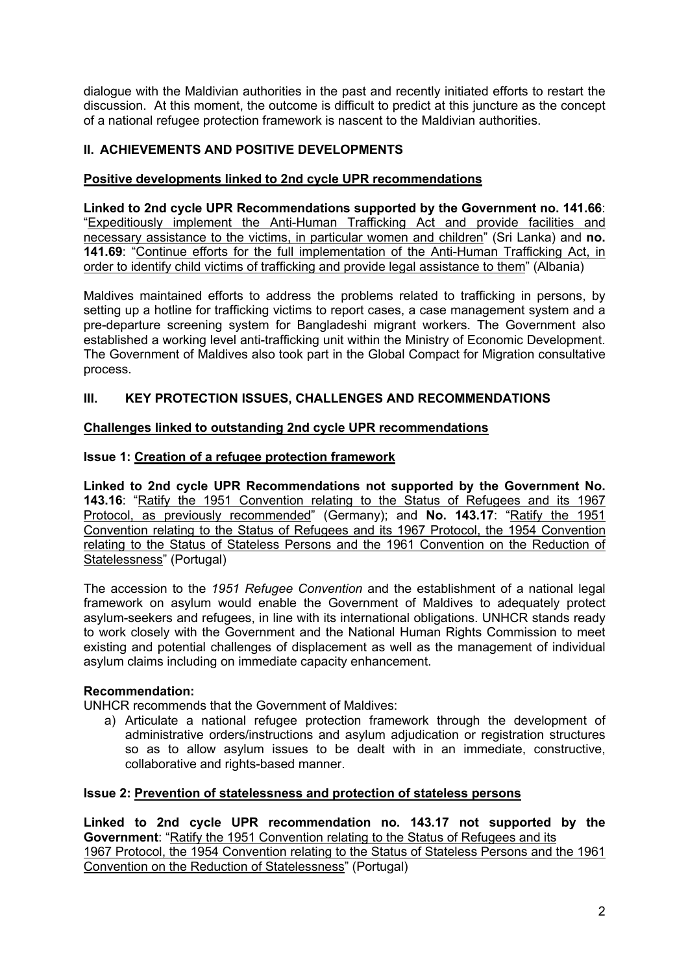dialogue with the Maldivian authorities in the past and recently initiated efforts to restart the discussion. At this moment, the outcome is difficult to predict at this juncture as the concept of a national refugee protection framework is nascent to the Maldivian authorities.

# **II. ACHIEVEMENTS AND POSITIVE DEVELOPMENTS**

### **Positive developments linked to 2nd cycle UPR recommendations**

**Linked to 2nd cycle UPR Recommendations supported by the Government no. 141.66**: "Expeditiously implement the Anti-Human Trafficking Act and provide facilities and necessary assistance to the victims, in particular women and children" (Sri Lanka) and **no. 141.69**: "Continue efforts for the full implementation of the Anti-Human Trafficking Act, in order to identify child victims of trafficking and provide legal assistance to them" (Albania)

Maldives maintained efforts to address the problems related to trafficking in persons, by setting up a hotline for trafficking victims to report cases, a case management system and a pre-departure screening system for Bangladeshi migrant workers. The Government also established a working level anti-trafficking unit within the Ministry of Economic Development. The Government of Maldives also took part in the Global Compact for Migration consultative process.

# **III. KEY PROTECTION ISSUES, CHALLENGES AND RECOMMENDATIONS**

#### **Challenges linked to outstanding 2nd cycle UPR recommendations**

## **Issue 1: Creation of a refugee protection framework**

**Linked to 2nd cycle UPR Recommendations not supported by the Government No. 143.16**: "Ratify the 1951 Convention relating to the Status of Refugees and its 1967 Protocol, as previously recommended" (Germany); and **No. 143.17**: "Ratify the 1951 Convention relating to the Status of Refugees and its 1967 Protocol, the 1954 Convention relating to the Status of Stateless Persons and the 1961 Convention on the Reduction of Statelessness" (Portugal)

The accession to the *1951 Refugee Convention* and the establishment of a national legal framework on asylum would enable the Government of Maldives to adequately protect asylum-seekers and refugees, in line with its international obligations. UNHCR stands ready to work closely with the Government and the National Human Rights Commission to meet existing and potential challenges of displacement as well as the management of individual asylum claims including on immediate capacity enhancement.

#### **Recommendation:**

UNHCR recommends that the Government of Maldives:

a) Articulate a national refugee protection framework through the development of administrative orders/instructions and asylum adjudication or registration structures so as to allow asylum issues to be dealt with in an immediate, constructive, collaborative and rights-based manner.

#### **Issue 2: Prevention of statelessness and protection of stateless persons**

**Linked to 2nd cycle UPR recommendation no. 143.17 not supported by the Government**: "Ratify the 1951 Convention relating to the Status of Refugees and its 1967 Protocol, the 1954 Convention relating to the Status of Stateless Persons and the 1961 Convention on the Reduction of Statelessness" (Portugal)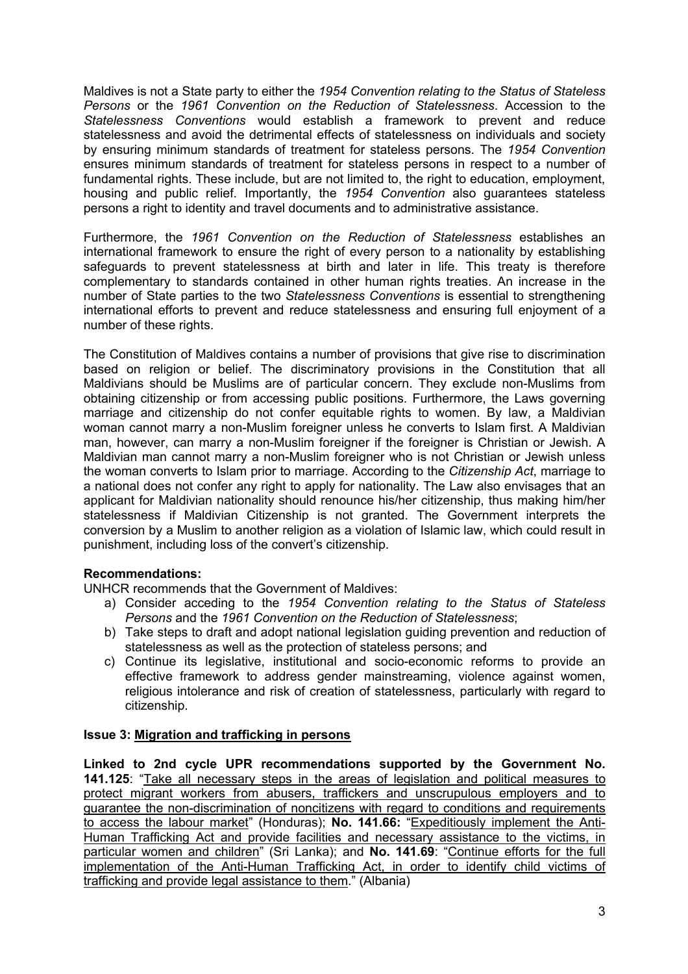Maldives is not a State party to either the *1954 Convention relating to the Status of Stateless Persons* or the *1961 Convention on the Reduction of Statelessness*. Accession to the *Statelessness Conventions* would establish a framework to prevent and reduce statelessness and avoid the detrimental effects of statelessness on individuals and society by ensuring minimum standards of treatment for stateless persons. The *1954 Convention* ensures minimum standards of treatment for stateless persons in respect to a number of fundamental rights. These include, but are not limited to, the right to education, employment, housing and public relief. Importantly, the *1954 Convention* also guarantees stateless persons a right to identity and travel documents and to administrative assistance.

Furthermore, the *1961 Convention on the Reduction of Statelessness* establishes an international framework to ensure the right of every person to a nationality by establishing safeguards to prevent statelessness at birth and later in life. This treaty is therefore complementary to standards contained in other human rights treaties. An increase in the number of State parties to the two *Statelessness Conventions* is essential to strengthening international efforts to prevent and reduce statelessness and ensuring full enjoyment of a number of these rights.

The Constitution of Maldives contains a number of provisions that give rise to discrimination based on religion or belief. The discriminatory provisions in the Constitution that all Maldivians should be Muslims are of particular concern. They exclude non-Muslims from obtaining citizenship or from accessing public positions. Furthermore, the Laws governing marriage and citizenship do not confer equitable rights to women. By law, a Maldivian woman cannot marry a non-Muslim foreigner unless he converts to Islam first. A Maldivian man, however, can marry a non-Muslim foreigner if the foreigner is Christian or Jewish. A Maldivian man cannot marry a non-Muslim foreigner who is not Christian or Jewish unless the woman converts to Islam prior to marriage. According to the *Citizenship Act*, marriage to a national does not confer any right to apply for nationality. The Law also envisages that an applicant for Maldivian nationality should renounce his/her citizenship, thus making him/her statelessness if Maldivian Citizenship is not granted. The Government interprets the conversion by a Muslim to another religion as a violation of Islamic law, which could result in punishment, including loss of the convert's citizenship.

#### **Recommendations:**

UNHCR recommends that the Government of Maldives:

- a) Consider acceding to the *1954 Convention relating to the Status of Stateless Persons* and the *1961 Convention on the Reduction of Statelessness*;
- b) Take steps to draft and adopt national legislation guiding prevention and reduction of statelessness as well as the protection of stateless persons; and
- c) Continue its legislative, institutional and socio-economic reforms to provide an effective framework to address gender mainstreaming, violence against women, religious intolerance and risk of creation of statelessness, particularly with regard to citizenship.

#### **Issue 3: Migration and trafficking in persons**

**Linked to 2nd cycle UPR recommendations supported by the Government No. 141.125**: "Take all necessary steps in the areas of legislation and political measures to protect migrant workers from abusers, traffickers and unscrupulous employers and to guarantee the non-discrimination of noncitizens with regard to conditions and requirements to access the labour market" (Honduras); **No. 141.66:** "Expeditiously implement the Anti-Human Trafficking Act and provide facilities and necessary assistance to the victims, in particular women and children" (Sri Lanka); and **No. 141.69**: "Continue efforts for the full implementation of the Anti-Human Trafficking Act, in order to identify child victims of trafficking and provide legal assistance to them." (Albania)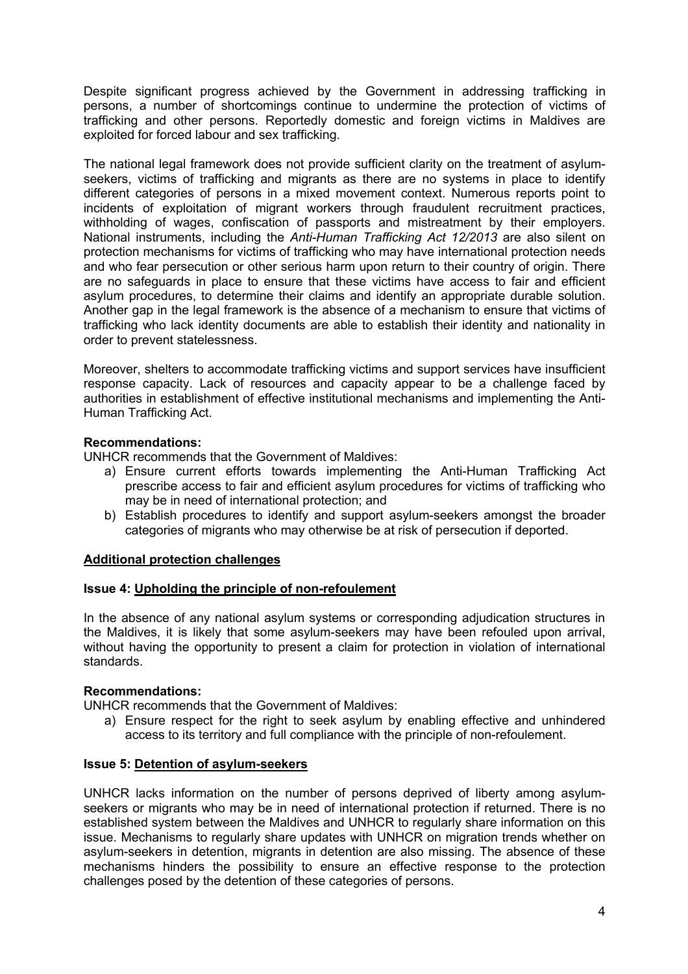Despite significant progress achieved by the Government in addressing trafficking in persons, a number of shortcomings continue to undermine the protection of victims of trafficking and other persons. Reportedly domestic and foreign victims in Maldives are exploited for forced labour and sex trafficking.

The national legal framework does not provide sufficient clarity on the treatment of asylumseekers, victims of trafficking and migrants as there are no systems in place to identify different categories of persons in a mixed movement context. Numerous reports point to incidents of exploitation of migrant workers through fraudulent recruitment practices, withholding of wages, confiscation of passports and mistreatment by their employers. National instruments, including the *Anti-Human Trafficking Act 12/2013* are also silent on protection mechanisms for victims of trafficking who may have international protection needs and who fear persecution or other serious harm upon return to their country of origin. There are no safeguards in place to ensure that these victims have access to fair and efficient asylum procedures, to determine their claims and identify an appropriate durable solution. Another gap in the legal framework is the absence of a mechanism to ensure that victims of trafficking who lack identity documents are able to establish their identity and nationality in order to prevent statelessness.

Moreover, shelters to accommodate trafficking victims and support services have insufficient response capacity. Lack of resources and capacity appear to be a challenge faced by authorities in establishment of effective institutional mechanisms and implementing the Anti-Human Trafficking Act.

#### **Recommendations:**

UNHCR recommends that the Government of Maldives:

- a) Ensure current efforts towards implementing the Anti-Human Trafficking Act prescribe access to fair and efficient asylum procedures for victims of trafficking who may be in need of international protection; and
- b) Establish procedures to identify and support asylum-seekers amongst the broader categories of migrants who may otherwise be at risk of persecution if deported.

#### **Additional protection challenges**

#### **Issue 4: Upholding the principle of non-refoulement**

In the absence of any national asylum systems or corresponding adjudication structures in the Maldives, it is likely that some asylum-seekers may have been refouled upon arrival, without having the opportunity to present a claim for protection in violation of international standards.

#### **Recommendations:**

UNHCR recommends that the Government of Maldives:

a) Ensure respect for the right to seek asylum by enabling effective and unhindered access to its territory and full compliance with the principle of non-refoulement.

# **Issue 5: Detention of asylum-seekers**

UNHCR lacks information on the number of persons deprived of liberty among asylumseekers or migrants who may be in need of international protection if returned. There is no established system between the Maldives and UNHCR to regularly share information on this issue. Mechanisms to regularly share updates with UNHCR on migration trends whether on asylum-seekers in detention, migrants in detention are also missing. The absence of these mechanisms hinders the possibility to ensure an effective response to the protection challenges posed by the detention of these categories of persons.